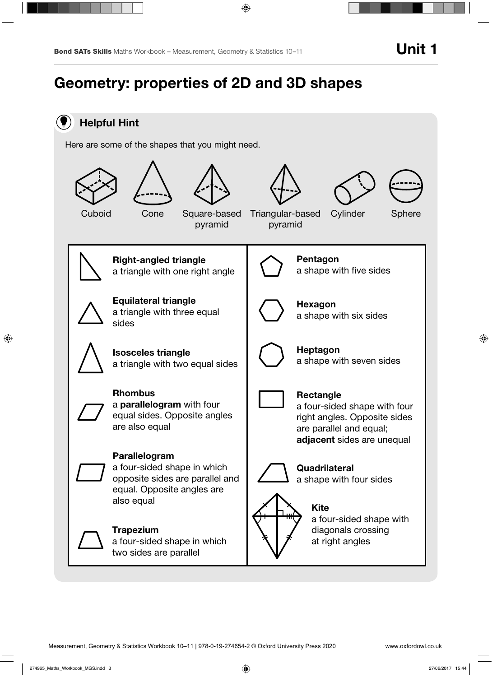# Geometry: properties of 2D and 3D shapes

## Helpful Hint

Here are some of the shapes that you might need.

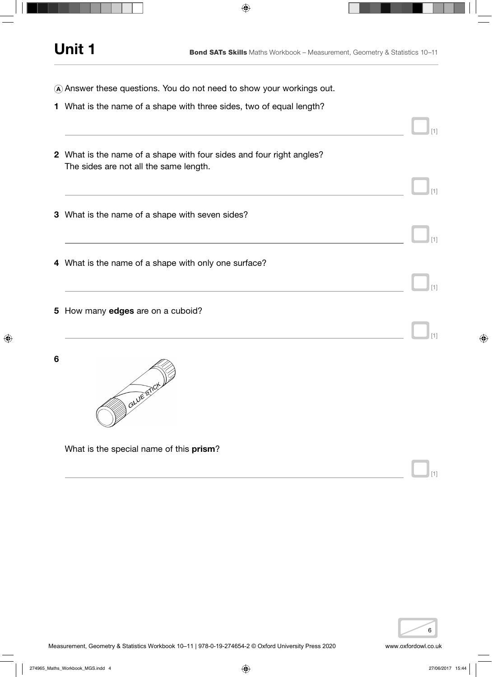- <sup>A</sup> Answer these questions. You do not need to show your workings out.
- 1 What is the name of a shape with three sides, two of equal length?

|   | 2 What is the name of a shape with four sides and four right angles?<br>The sides are not all the same length. |            |
|---|----------------------------------------------------------------------------------------------------------------|------------|
|   | 3 What is the name of a shape with seven sides?                                                                |            |
|   | 4 What is the name of a shape with only one surface?                                                           | [1]<br>[1] |
|   | 5 How many edges are on a cuboid?                                                                              | [1]        |
| 6 | awestick                                                                                                       |            |
|   | What is the special name of this prism?                                                                        | [1]        |

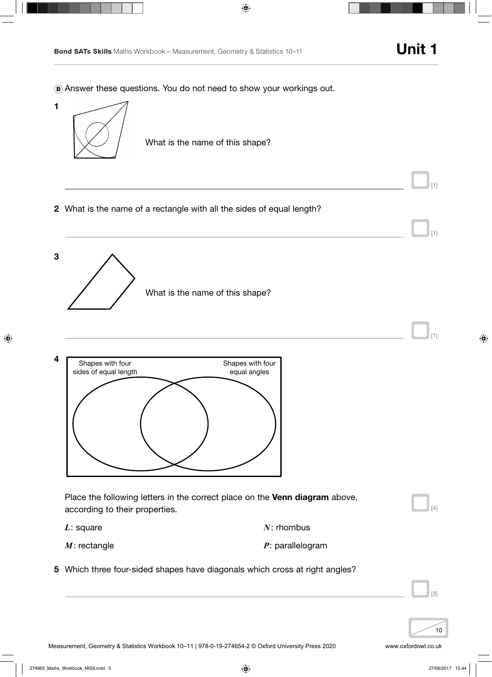[1]

[1]

<sup>B</sup> Answer these questions. You do not need to show your workings out.



3 What is the name of this shape? [1]



| Place the following letters in the correct place on the <b>Venn diagram</b> above,<br>according to their properties. |                    |  |
|----------------------------------------------------------------------------------------------------------------------|--------------------|--|
| $L$ : square                                                                                                         | $N:$ rhombus       |  |
| $M$ : rectangle                                                                                                      | $P:$ parallelogram |  |
| 5 Which three four-sided shapes have diagonals which cross at right angles?                                          |                    |  |
|                                                                                                                      |                    |  |

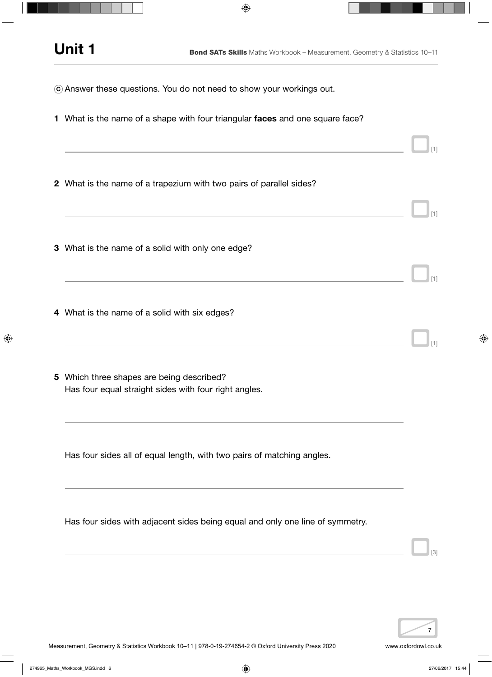- <sup>C</sup> Answer these questions. You do not need to show your workings out.
- 1 What is the name of a shape with four triangular faces and one square face?
- 2 What is the name of a trapezium with two pairs of parallel sides?
- 3 What is the name of a solid with only one edge?
- 4 What is the name of a solid with six edges?
- 5 Which three shapes are being described? Has four equal straight sides with four right angles.

Has four sides all of equal length, with two pairs of matching angles.

Has four sides with adjacent sides being equal and only one line of symmetry.

[3]

[1]

[1]

[1]

[1]